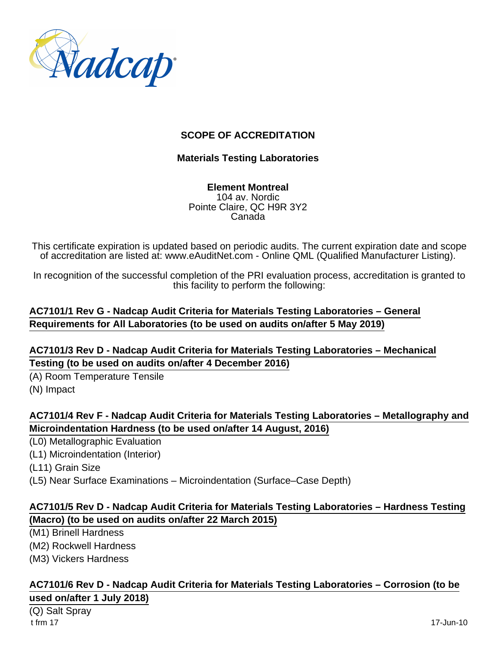

## **SCOPE OF ACCREDITATION**

### **Materials Testing Laboratories**

**Element Montreal** 104 av. Nordic Pointe Claire, QC H9R 3Y2 Canada

This certificate expiration is updated based on periodic audits. The current expiration date and scope of accreditation are listed at: www.eAuditNet.com - Online QML (Qualified Manufacturer Listing).

In recognition of the successful completion of the PRI evaluation process, accreditation is granted to this facility to perform the following:

## **AC7101/1 Rev G - Nadcap Audit Criteria for Materials Testing Laboratories – General Requirements for All Laboratories (to be used on audits on/after 5 May 2019)**

### **AC7101/3 Rev D - Nadcap Audit Criteria for Materials Testing Laboratories – Mechanical Testing (to be used on audits on/after 4 December 2016)**

(A) Room Temperature Tensile (N) Impact

## **AC7101/4 Rev F - Nadcap Audit Criteria for Materials Testing Laboratories – Metallography and Microindentation Hardness (to be used on/after 14 August, 2016)**

(L0) Metallographic Evaluation

(L1) Microindentation (Interior)

(L11) Grain Size

(L5) Near Surface Examinations – Microindentation (Surface–Case Depth)

## **AC7101/5 Rev D - Nadcap Audit Criteria for Materials Testing Laboratories – Hardness Testing (Macro) (to be used on audits on/after 22 March 2015)**

(M1) Brinell Hardness

(M2) Rockwell Hardness

(M3) Vickers Hardness

#### **AC7101/6 Rev D - Nadcap Audit Criteria for Materials Testing Laboratories – Corrosion (to be used on/after 1 July 2018)**

(Q) Salt Spray t frm 17 17-Jun-10